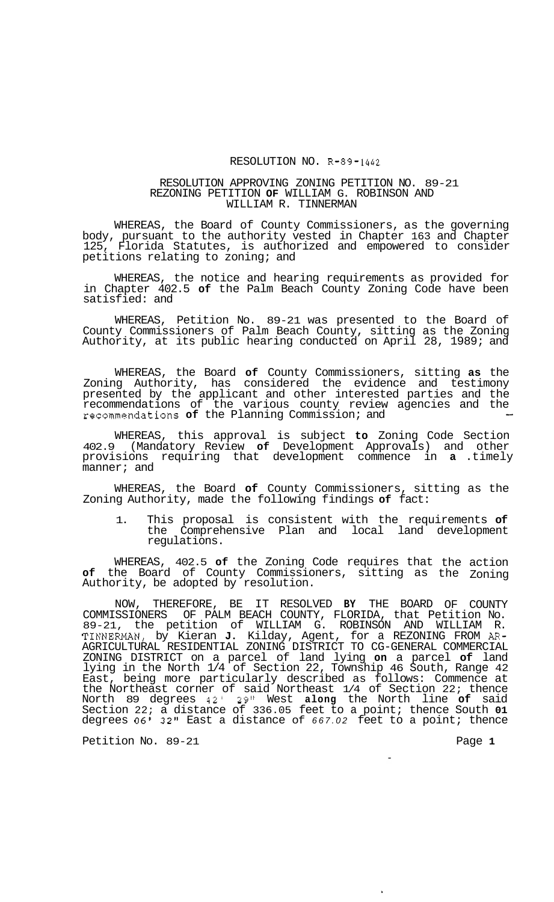## RESOLUTION NO. R-89-1442

## RESOLUTION APPROVING ZONING PETITION NO. 89-21 REZONING PETITION **OF** WILLIAM G. ROBINSON AND WILLIAM R. TINNERMAN

WHEREAS, the Board of County Commissioners, as the governing body, pursuant to the authority vested in Chapter 163 and Chapter 125, Florida Statutes, is authorized and empowered to consider petitions relating to zoning; and

WHEREAS, the notice and hearing requirements as provided for in Chapter 402.5 **of** the Palm Beach County Zoning Code have been satisfied: and

WHEREAS, Petition No. 89-21 was presented to the Board of County Commissioners of Palm Beach County, sitting as the Zoning Authority, at its public hearing conducted on April 28, 1989; and

WHEREAS, the Board **of** County Commissioners, sitting **as** the Zoning Authority, has considered the evidence and testimony presented by the applicant and other interested parties and the recommendations of the various county review agencies and the recommendations **of** the Planning Commission; and -

WHEREAS, this approval is subject **to** Zoning Code Section 402.9 (Mandatory Review **of** Development Approvals) and other provisions requiring that development commence in **a** .timely manner; and

WHEREAS, the Board **of** County Commissioners, sitting as the Zoning Authority, made the following findings **of** fact:

1. This proposal is consistent with the requirements **of**  the Comprehensive Plan and local land development regulations.

WHEREAS, 402.5 **of** the Zoning Code requires that **of** the Board of County Commissioners, sitting as Authority, be adopted by resolution. the action the Zoning

NOW, THEREFORE, BE IT RESOLVED **BY** THE BOARD OF COUNTY COMMISSIONERS OF PALM BEACH COUNTY, FLORIDA, that Petition No. 89-21, the petition of WILLIAM G. ROBINSON AND WILLIAM R. TINNEFNAN, by Kieran **J.** Kilday, Agent, for a REZONING FROM *AR-*AGRICULTURAL RESIDENTIAL ZONING DISTRICT TO CG-GENERAL COMMERCIAL ZONING DISTRICT on a parcel of land lying **on** a parcel **of** land lying in the North 1/4 of Section 22, Township 46 South, Range 42 East, being more particularly described as follows: Commence at the Northeast corner of said Northeast 1/4 of Section 22; thence North 89 degrees 42' 29" West **along** the North line **of** said Section 22; a distance of 336.05 feet to a point; thence South **01**  degrees *06' 32''* East a distance of *667.02* feet to a point; thence

Petition No. 89-21 **Page 1 Page 1**